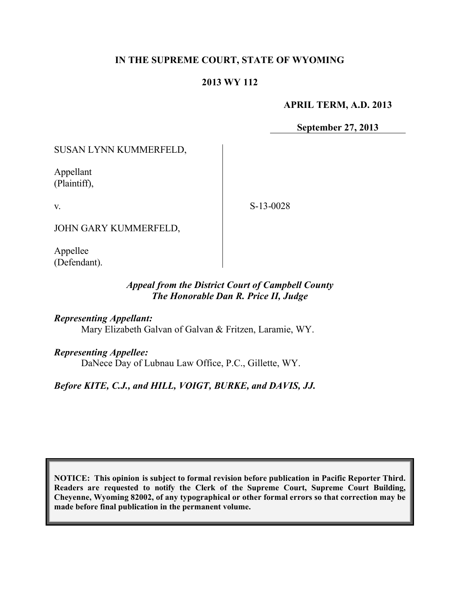# **IN THE SUPREME COURT, STATE OF WYOMING**

# **2013 WY 112**

**APRIL TERM, A.D. 2013**

**September 27, 2013**

SUSAN LYNN KUMMERFELD,

Appellant (Plaintiff),

v.

S-13-0028

JOHN GARY KUMMERFELD,

Appellee (Defendant).

# *Appeal from the District Court of Campbell County The Honorable Dan R. Price II, Judge*

*Representing Appellant:*

Mary Elizabeth Galvan of Galvan & Fritzen, Laramie, WY.

*Representing Appellee:*

DaNece Day of Lubnau Law Office, P.C., Gillette, WY.

*Before KITE, C.J., and HILL, VOIGT, BURKE, and DAVIS, JJ.*

**NOTICE: This opinion is subject to formal revision before publication in Pacific Reporter Third. Readers are requested to notify the Clerk of the Supreme Court, Supreme Court Building, Cheyenne, Wyoming 82002, of any typographical or other formal errors so that correction may be made before final publication in the permanent volume.**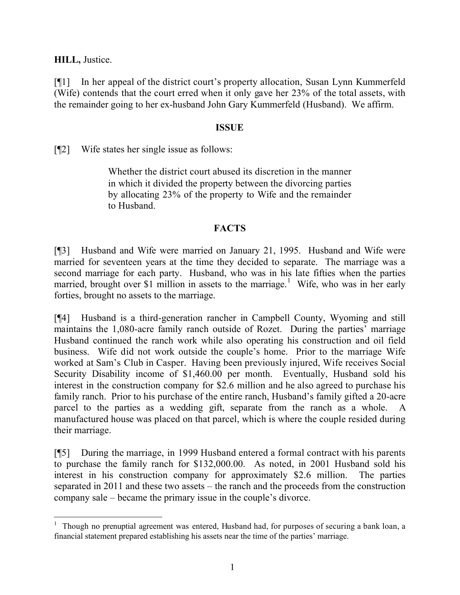**HILL,** Justice.

[¶1] In her appeal of the district court's property allocation, Susan Lynn Kummerfeld (Wife) contends that the court erred when it only gave her 23% of the total assets, with the remainder going to her ex-husband John Gary Kummerfeld (Husband). We affirm.

#### **ISSUE**

[¶2] Wife states her single issue as follows:

Whether the district court abused its discretion in the manner in which it divided the property between the divorcing parties by allocating 23% of the property to Wife and the remainder to Husband.

### **FACTS**

[¶3] Husband and Wife were married on January 21, 1995. Husband and Wife were married for seventeen years at the time they decided to separate. The marriage was a second marriage for each party. Husband, who was in his late fifties when the parties married, brought over \$1 million in assets to the marriage.<sup>1</sup> Wife, who was in her early forties, brought no assets to the marriage.

[¶4] Husband is a third-generation rancher in Campbell County, Wyoming and still maintains the 1,080-acre family ranch outside of Rozet. During the parties' marriage Husband continued the ranch work while also operating his construction and oil field business. Wife did not work outside the couple's home. Prior to the marriage Wife worked at Sam's Club in Casper. Having been previously injured, Wife receives Social Security Disability income of \$1,460.00 per month. Eventually, Husband sold his interest in the construction company for \$2.6 million and he also agreed to purchase his family ranch. Prior to his purchase of the entire ranch, Husband's family gifted a 20-acre parcel to the parties as a wedding gift, separate from the ranch as a whole. A manufactured house was placed on that parcel, which is where the couple resided during their marriage.

[¶5] During the marriage, in 1999 Husband entered a formal contract with his parents to purchase the family ranch for \$132,000.00. As noted, in 2001 Husband sold his interest in his construction company for approximately \$2.6 million. The parties separated in 2011 and these two assets – the ranch and the proceeds from the construction company sale – became the primary issue in the couple's divorce.

<sup>&</sup>lt;sup>1</sup> Though no prenuptial agreement was entered, Husband had, for purposes of securing a bank loan, a financial statement prepared establishing his assets near the time of the parties' marriage.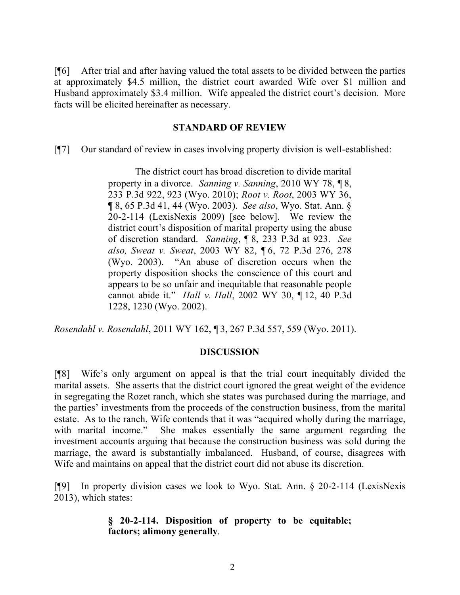[¶6] After trial and after having valued the total assets to be divided between the parties at approximately \$4.5 million, the district court awarded Wife over \$1 million and Husband approximately \$3.4 million. Wife appealed the district court's decision. More facts will be elicited hereinafter as necessary.

#### **STANDARD OF REVIEW**

[¶7] Our standard of review in cases involving property division is well-established:

The district court has broad discretion to divide marital property in a divorce. *Sanning v. Sanning*, 2010 WY 78, ¶ 8, 233 P.3d 922, 923 (Wyo. 2010); *Root v. Root*, 2003 WY 36, ¶ 8, 65 P.3d 41, 44 (Wyo. 2003). *See also*, Wyo. Stat. Ann. § 20-2-114 (LexisNexis 2009) [see below]. We review the district court's disposition of marital property using the abuse of discretion standard. *Sanning*, ¶ 8, 233 P.3d at 923. *See also, Sweat v. Sweat*, 2003 WY 82, ¶ 6, 72 P.3d 276, 278 (Wyo. 2003). "An abuse of discretion occurs when the property disposition shocks the conscience of this court and appears to be so unfair and inequitable that reasonable people cannot abide it." *Hall v. Hall*, 2002 WY 30, ¶ 12, 40 P.3d 1228, 1230 (Wyo. 2002).

*Rosendahl v. Rosendahl*, 2011 WY 162, ¶ 3, 267 P.3d 557, 559 (Wyo. 2011).

### **DISCUSSION**

[¶8] Wife's only argument on appeal is that the trial court inequitably divided the marital assets. She asserts that the district court ignored the great weight of the evidence in segregating the Rozet ranch, which she states was purchased during the marriage, and the parties' investments from the proceeds of the construction business, from the marital estate. As to the ranch, Wife contends that it was "acquired wholly during the marriage, with marital income." She makes essentially the same argument regarding the investment accounts arguing that because the construction business was sold during the marriage, the award is substantially imbalanced. Husband, of course, disagrees with Wife and maintains on appeal that the district court did not abuse its discretion.

[¶9] In property division cases we look to Wyo. Stat. Ann. § 20-2-114 (LexisNexis 2013), which states:

#### **§ 20-2-114. Disposition of property to be equitable; factors; alimony generally**.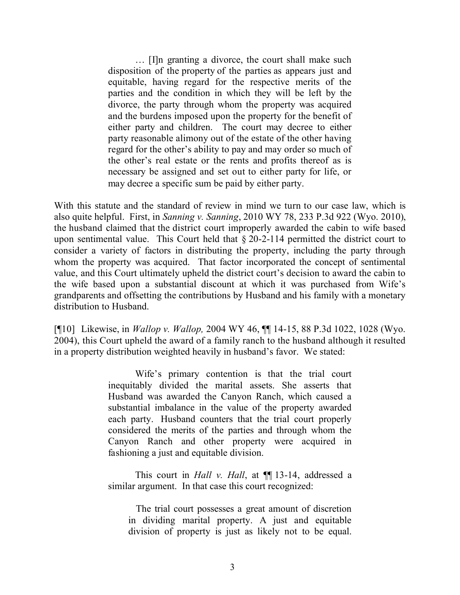… [I]n granting a divorce, the court shall make such disposition of the property of the parties as appears just and equitable, having regard for the respective merits of the parties and the condition in which they will be left by the divorce, the party through whom the property was acquired and the burdens imposed upon the property for the benefit of either party and children. The court may decree to either party reasonable alimony out of the estate of the other having regard for the other's ability to pay and may order so much of the other's real estate or the rents and profits thereof as is necessary be assigned and set out to either party for life, or may decree a specific sum be paid by either party.

With this statute and the standard of review in mind we turn to our case law, which is also quite helpful. First, in *Sanning v. Sanning*, 2010 WY 78, 233 P.3d 922 (Wyo. 2010), the husband claimed that the district court improperly awarded the cabin to wife based upon sentimental value. This Court held that § 20-2-114 permitted the district court to consider a variety of factors in distributing the property, including the party through whom the property was acquired. That factor incorporated the concept of sentimental value, and this Court ultimately upheld the district court's decision to award the cabin to the wife based upon a substantial discount at which it was purchased from Wife's grandparents and offsetting the contributions by Husband and his family with a monetary distribution to Husband.

[¶10] Likewise, in *Wallop v. Wallop,* 2004 WY 46, ¶¶ 14-15, 88 P.3d 1022, 1028 (Wyo. 2004), this Court upheld the award of a family ranch to the husband although it resulted in a property distribution weighted heavily in husband's favor. We stated:

> Wife's primary contention is that the trial court inequitably divided the marital assets. She asserts that Husband was awarded the Canyon Ranch, which caused a substantial imbalance in the value of the property awarded each party. Husband counters that the trial court properly considered the merits of the parties and through whom the Canyon Ranch and other property were acquired in fashioning a just and equitable division.

This court in *Hall v. Hall*, at ¶¶ 13-14, addressed a similar argument. In that case this court recognized:

 The trial court possesses a great amount of discretion in dividing marital property. A just and equitable division of property is just as likely not to be equal.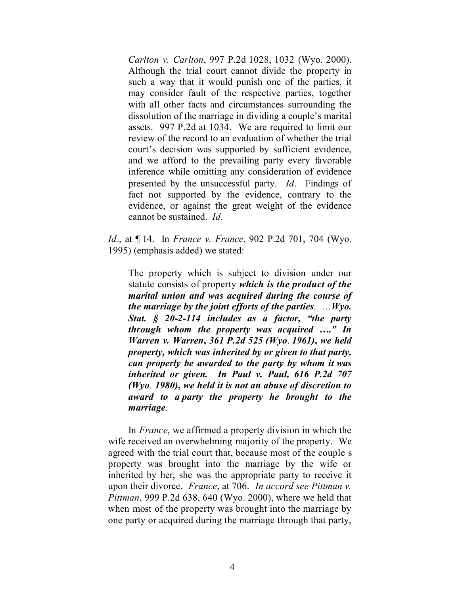*Carlton v. Carlton*, 997 P.2d 1028, 1032 (Wyo. 2000). Although the trial court cannot divide the property in such a way that it would punish one of the parties, it may consider fault of the respective parties, together with all other facts and circumstances surrounding the dissolution of the marriage in dividing a couple's marital assets. 997 P.2d at 1034. We are required to limit our review of the record to an evaluation of whether the trial court's decision was supported by sufficient evidence, and we afford to the prevailing party every favorable inference while omitting any consideration of evidence presented by the unsuccessful party. *Id*. Findings of fact not supported by the evidence, contrary to the evidence, or against the great weight of the evidence cannot be sustained. *Id.*

*Id.*, at ¶ 14. In *France v. France*, 902 P.2d 701, 704 (Wyo. 1995) (emphasis added) we stated:

The property which is subject to division under our statute consists of property *which is the product of the marital union and was acquired during the course of the marriage by the joint efforts of the parties*. …*Wyo. Stat. § 20-2-114 includes as a factor, "the party through whom the property was acquired …." In Warren v. Warren***,** *361 P.2d 525 (Wyo*. *1961)***,** *we held property, which was inherited by or given to that party, can properly be awarded to the party by whom it was inherited or given. In Paul v. Paul, 616 P.2d 707 (Wyo*. *1980)***,** *we held it is not an abuse of discretion to award to a party the property he brought to the marriage*.

In *France*, we affirmed a property division in which the wife received an overwhelming majority of the property. We agreed with the trial court that, because most of the couple s property was brought into the marriage by the wife or inherited by her, she was the appropriate party to receive it upon their divorce. *France*, at 706. *In accord see Pittman v. Pittman*, 999 P.2d 638, 640 (Wyo. 2000), where we held that when most of the property was brought into the marriage by one party or acquired during the marriage through that party,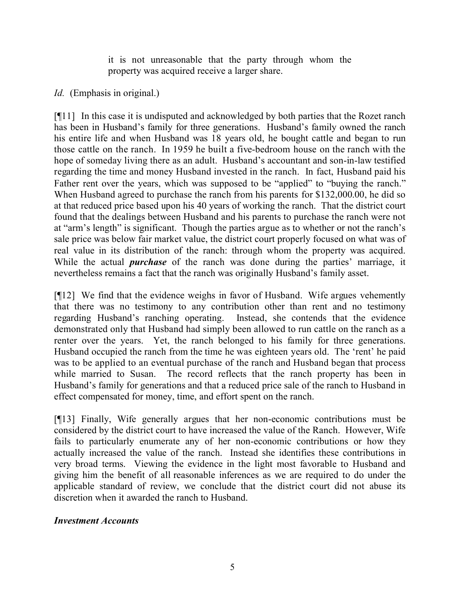it is not unreasonable that the party through whom the property was acquired receive a larger share.

# *Id.* (Emphasis in original.)

[¶11] In this case it is undisputed and acknowledged by both parties that the Rozet ranch has been in Husband's family for three generations. Husband's family owned the ranch his entire life and when Husband was 18 years old, he bought cattle and began to run those cattle on the ranch. In 1959 he built a five-bedroom house on the ranch with the hope of someday living there as an adult. Husband's accountant and son-in-law testified regarding the time and money Husband invested in the ranch. In fact, Husband paid his Father rent over the years, which was supposed to be "applied" to "buying the ranch." When Husband agreed to purchase the ranch from his parents for \$132,000.00, he did so at that reduced price based upon his 40 years of working the ranch. That the district court found that the dealings between Husband and his parents to purchase the ranch were not at "arm's length" is significant. Though the parties argue as to whether or not the ranch's sale price was below fair market value, the district court properly focused on what was of real value in its distribution of the ranch: through whom the property was acquired. While the actual *purchase* of the ranch was done during the parties' marriage, it nevertheless remains a fact that the ranch was originally Husband's family asset.

[¶12] We find that the evidence weighs in favor of Husband. Wife argues vehemently that there was no testimony to any contribution other than rent and no testimony regarding Husband's ranching operating. Instead, she contends that the evidence demonstrated only that Husband had simply been allowed to run cattle on the ranch as a renter over the years. Yet, the ranch belonged to his family for three generations. Husband occupied the ranch from the time he was eighteen years old. The 'rent' he paid was to be applied to an eventual purchase of the ranch and Husband began that process while married to Susan. The record reflects that the ranch property has been in Husband's family for generations and that a reduced price sale of the ranch to Husband in effect compensated for money, time, and effort spent on the ranch.

[¶13] Finally, Wife generally argues that her non-economic contributions must be considered by the district court to have increased the value of the Ranch. However, Wife fails to particularly enumerate any of her non-economic contributions or how they actually increased the value of the ranch. Instead she identifies these contributions in very broad terms. Viewing the evidence in the light most favorable to Husband and giving him the benefit of all reasonable inferences as we are required to do under the applicable standard of review, we conclude that the district court did not abuse its discretion when it awarded the ranch to Husband.

### *Investment Accounts*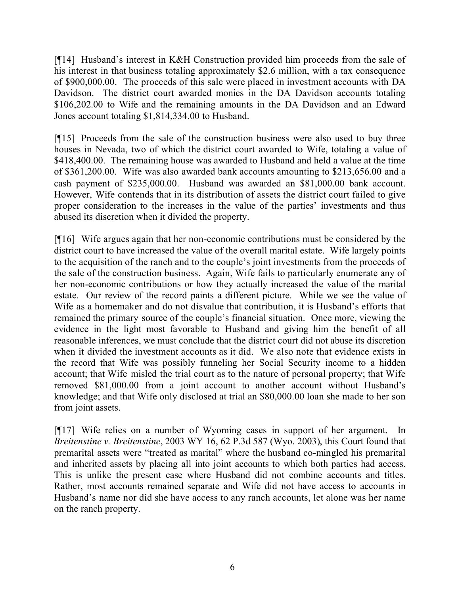[¶14] Husband's interest in K&H Construction provided him proceeds from the sale of his interest in that business totaling approximately \$2.6 million, with a tax consequence of \$900,000.00. The proceeds of this sale were placed in investment accounts with DA Davidson. The district court awarded monies in the DA Davidson accounts totaling \$106,202.00 to Wife and the remaining amounts in the DA Davidson and an Edward Jones account totaling \$1,814,334.00 to Husband.

[¶15] Proceeds from the sale of the construction business were also used to buy three houses in Nevada, two of which the district court awarded to Wife, totaling a value of \$418,400.00. The remaining house was awarded to Husband and held a value at the time of \$361,200.00. Wife was also awarded bank accounts amounting to \$213,656.00 and a cash payment of \$235,000.00. Husband was awarded an \$81,000.00 bank account. However, Wife contends that in its distribution of assets the district court failed to give proper consideration to the increases in the value of the parties' investments and thus abused its discretion when it divided the property.

[¶16] Wife argues again that her non-economic contributions must be considered by the district court to have increased the value of the overall marital estate. Wife largely points to the acquisition of the ranch and to the couple's joint investments from the proceeds of the sale of the construction business. Again, Wife fails to particularly enumerate any of her non-economic contributions or how they actually increased the value of the marital estate. Our review of the record paints a different picture. While we see the value of Wife as a homemaker and do not disvalue that contribution, it is Husband's efforts that remained the primary source of the couple's financial situation. Once more, viewing the evidence in the light most favorable to Husband and giving him the benefit of all reasonable inferences, we must conclude that the district court did not abuse its discretion when it divided the investment accounts as it did. We also note that evidence exists in the record that Wife was possibly funneling her Social Security income to a hidden account; that Wife misled the trial court as to the nature of personal property; that Wife removed \$81,000.00 from a joint account to another account without Husband's knowledge; and that Wife only disclosed at trial an \$80,000.00 loan she made to her son from joint assets.

[¶17] Wife relies on a number of Wyoming cases in support of her argument. In *Breitenstine v. Breitenstine*, 2003 WY 16, 62 P.3d 587 (Wyo. 2003), this Court found that premarital assets were "treated as marital" where the husband co-mingled his premarital and inherited assets by placing all into joint accounts to which both parties had access. This is unlike the present case where Husband did not combine accounts and titles. Rather, most accounts remained separate and Wife did not have access to accounts in Husband's name nor did she have access to any ranch accounts, let alone was her name on the ranch property.